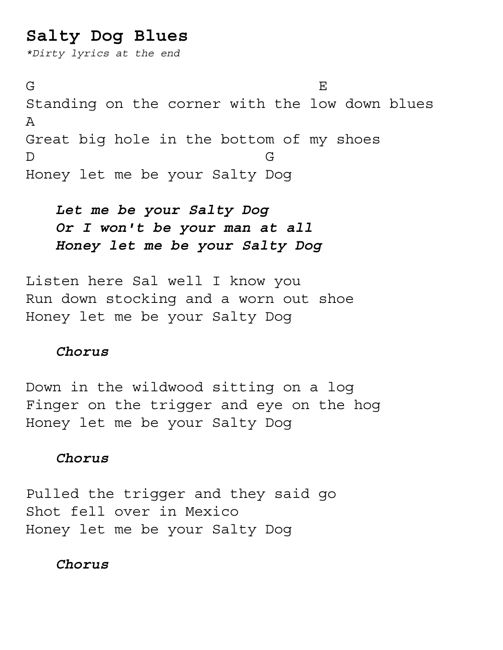# **Salty Dog Blues**

*\*Dirty lyrics at the end*

 $G$  be a set of the contract of the contract of  $E$ Standing on the corner with the low down blues A Great big hole in the bottom of my shoes D G Honey let me be your Salty Dog

## *Let me be your Salty Dog Or I won't be your man at all Honey let me be your Salty Dog*

Listen here Sal well I know you Run down stocking and a worn out shoe Honey let me be your Salty Dog

#### *Chorus*

Down in the wildwood sitting on a log Finger on the trigger and eye on the hog Honey let me be your Salty Dog

## *Chorus*

Pulled the trigger and they said go Shot fell over in Mexico Honey let me be your Salty Dog

*Chorus*